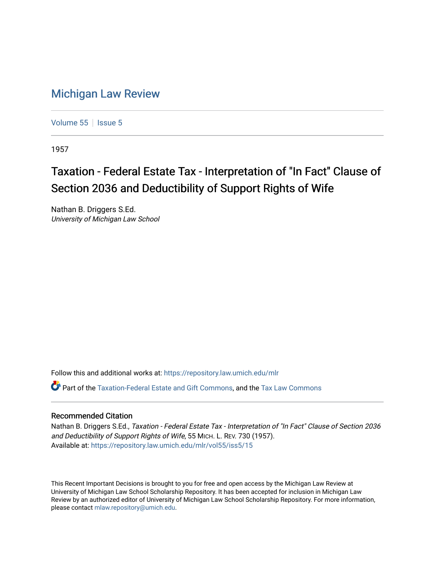## [Michigan Law Review](https://repository.law.umich.edu/mlr)

[Volume 55](https://repository.law.umich.edu/mlr/vol55) | [Issue 5](https://repository.law.umich.edu/mlr/vol55/iss5)

1957

## Taxation - Federal Estate Tax - Interpretation of "In Fact" Clause of Section 2036 and Deductibility of Support Rights of Wife

Nathan B. Driggers S.Ed. University of Michigan Law School

Follow this and additional works at: [https://repository.law.umich.edu/mlr](https://repository.law.umich.edu/mlr?utm_source=repository.law.umich.edu%2Fmlr%2Fvol55%2Fiss5%2F15&utm_medium=PDF&utm_campaign=PDFCoverPages) 

Part of the [Taxation-Federal Estate and Gift Commons,](http://network.bepress.com/hgg/discipline/880?utm_source=repository.law.umich.edu%2Fmlr%2Fvol55%2Fiss5%2F15&utm_medium=PDF&utm_campaign=PDFCoverPages) and the [Tax Law Commons](http://network.bepress.com/hgg/discipline/898?utm_source=repository.law.umich.edu%2Fmlr%2Fvol55%2Fiss5%2F15&utm_medium=PDF&utm_campaign=PDFCoverPages) 

## Recommended Citation

Nathan B. Driggers S.Ed., Taxation - Federal Estate Tax - Interpretation of "In Fact" Clause of Section 2036 and Deductibility of Support Rights of Wife, 55 MICH. L. REV. 730 (1957). Available at: [https://repository.law.umich.edu/mlr/vol55/iss5/15](https://repository.law.umich.edu/mlr/vol55/iss5/15?utm_source=repository.law.umich.edu%2Fmlr%2Fvol55%2Fiss5%2F15&utm_medium=PDF&utm_campaign=PDFCoverPages) 

This Recent Important Decisions is brought to you for free and open access by the Michigan Law Review at University of Michigan Law School Scholarship Repository. It has been accepted for inclusion in Michigan Law Review by an authorized editor of University of Michigan Law School Scholarship Repository. For more information, please contact [mlaw.repository@umich.edu.](mailto:mlaw.repository@umich.edu)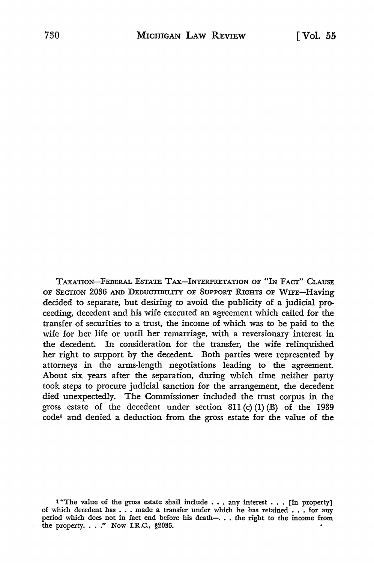TAXATION-FEDERAL ESTATE TAX-INTERPRETATION OF "IN FACT'' CLAUSE OF SECTION 2036 AND DEDUCTIBILITY OF SUPPORT RIGHTS OF WIFE-Having decided to separate, but desiring to avoid the publicity of a judicial proceeding, decedent and his wife executed an agreement which called for the transfer of securities to a trust, the income of which was to be paid to the wife for her life or until her remarriage, with a reversionary interest in the decedent. In consideration for the transfer, the wife relinquished her right to support by the decedent. Both parties were represented by attorneys in the arms-length negotiations leading to the agreement. About six. years after the separation, during which time neither party took steps to procure judicial sanction for the arrangement, the decedent died unexpectedly. The Commissioner included the trust corpus in the gross estate of the decedent under section  $811$  (c) (1) (B) of the 1939 code1 and denied a deduction from the gross estate for the value of the

<sup>1 &</sup>quot;The value of the gross estate shall include  $\ldots$  any interest  $\ldots$  [in property] of which decedent has  $\ldots$  made a transfer under which he has retained  $\ldots$  for any period which does not in fact end before his death- $\dots$ . the right to the income from the property. . . ." Now I.R.C., §2036.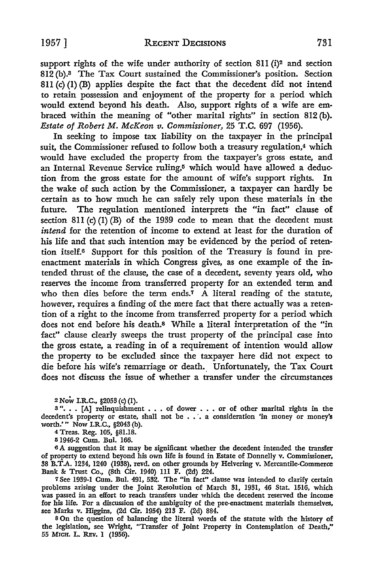support rights of the wife under authority of section  $811$  (i)<sup>2</sup> and section 812 (b).3 The Tax Court sustained the Commissioner's position. Section 811 $(c)$  (1) (B) applies despite the fact that the decedent did not intend to retain possession and enjoyment of the property for a period which would extend beyond his death. Also, support rights of a wife are embraced within the meaning of "other marital rights" in section 812 (b). *Estate of Robert M. McKeon v. Commissioner,* 25 T.C. 697 (1956).

In seeking to impose tax liability on the taxpayer in the principal suit, the Commissioner refused to follow both a treasury regulation,<sup>4</sup> which would have excluded the property from the taxpayer's gross estate, and an Internal Revenue Service ruling,<sup>5</sup> which would have allowed a deduction from the gross estate for the amount of wife's support rights. In the wake of such action by the Commissioner, a taxpayer can hardly be certain as to how much he can safely rely upon these materials in 'the future. The regulation mentioned interprets· the "in fact" clause of section 811 (c) (1) (B) of the 1939 code to mean that the decedent must *intend* for the retention of income to extend at least for the duration of his life and that such intention may be evidenced by the period of retention itself.6 Support for this position of the Treasury is found in preenactment materials in which Congress gives, as one example of the intended thrust of the clause, the case of a decedent, seventy years old, who reserves the income from transferred property for an extended term and who then dies before the term ends.<sup>7</sup>  $\hat{A}$  literal reading of the statute, however, requires a finding of the mere fact that there actually was a retention of a right to the income from transferred property for a period which does not end before his death.8 While a literal interpretation of the "in fact" clause clearly sweeps the trust property of the principal case into the gross estate, a reading in of a requirement of intention would allow the property to be excluded since the taxpayer here did not expect to die before his wife's remarriage or death. Unfortunately, the Tax Court does not discuss the issue of whether a transfer under the circumstances

2 Now I.R.C., §2053 (c) (I).

 $\frac{3}{16}$   $\ldots$  [A] relinquishment  $\ldots$  of dower  $\ldots$  or of other marital rights in the decedent's property or estate, shall not be  $\ldots$  a consideration 'in money or money's worth.' " Now I.R.C., §2043 (b).

4 Treas. Reg. 105, §81.18.

Ii 1946·2 Cum. Bul. 166.

<sup>6</sup>A suggestion that it may be significant whether the decedent intended the transfer of property to extend beyond his own life is found in Estate of Donnelly v. Commissioner, 38 B.T .A. 1234, 1240 (1938), revd. on other grounds by Helvering v. Mercantile-Commerce Bank &: Trust Co., (8th Cir. 1940) Ill F. (2d) 224.

<sup>7</sup>See 1939-1 Cum. Bul. 491, 532. The "in fact" clause was intended to clarify certain problems arising under the Joint Resolution of March 31, 1931, 46 Stat. 1516, which was passed in an effort to reach transfers under which the decedent reserved the income for his life. For a discussion of the ambiguity of the pre-enactment materials themselves, see Marks v. Higgins, (2d Cir. 1954) 213 F. (2d) 884.

s On the question of balancing the literal words of the statute with the history of the legislation, see Wright, "Transfer of Joint Property in Contemplation of Death," 55 MICH. L. REV. 1 (1956).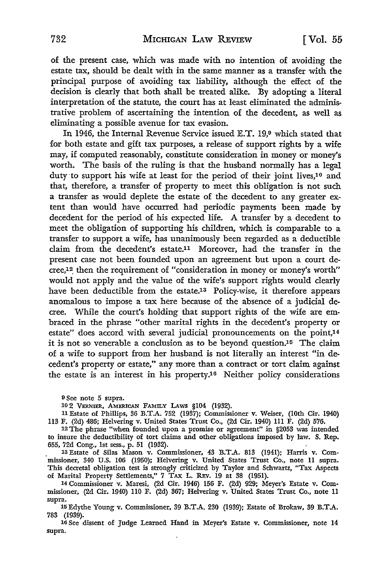of the present case, which was made with no intention of avoiding the estate tax, should be dealt with in the same manner as a transfer with the principal purpose of avoiding tax liability, although the effect of the decision is clearly that both shall be treated alike. By adopting a literal interpretation of the statute, the court has at least eliminated the administrative problem of ascertaining the intention of the decedent, as well as eliminating a possible avenue for tax evasion.

In 1946, the Internal Revenue Service issued E.T. 19,9 which stated that for both estate and gift tax purposes, a release of support rights by a wife may, if computed reasonably, constitute consideration in money or money's worth. The basis of the ruling is that the husband normally has a legal duty to support his wife at least for the period of their joint lives,<sup>10</sup> and that, therefore, a transfer of property to meet this obligation is not such a transfer as would deplete the estate of the decedent to any greater extent than would have occurred had periodic payments been made by decedent for the period of his expected life. A transfer by a decedent to meet the obligation of supporting his children, which is comparable to a transfer to support a wife, has unanimously been regarded as a deductible claim from the decedent's estate.11 Moreover, had the transfer in the present case not been founded upon an agreement but upon a court decree,<sup>12</sup> then the requirement of "consideration in money or money's worth" would not apply and the value of the wife's support rights would clearly have been deductible from the estate.13 Policy-wise, it therefore appears anomalous to impose a tax here because of the absence of a judicial decree. While the court's holding that support rights of the wife are embraced in the phrase "other marital rights in the decedent's property or estate" does accord with several judicial pronouncements on the point,14 it is not so venerable a conclusion as to be beyond question.16 The claim of a wife to support from her husband is not literally an interest "in decedent's property or estate," any more than a contract or tort claim against the estate is an interest in his property.16 Neither policy considerations

10 2 VERNIER, AMERICAN FAMILY LAws §104 {1932).

11 Estate of Phillips, 36 B.T .A. 752 (1937); Commissioner v. Weiser, (10th Cir. 1940) 113 F. (2d) 486; Helvering v. United States Trust Co., (2d Cir. 1940) 111 F. (2d) 576.

<sup>12</sup>The phrase "when founded upon a promise or agreement" in §2053 was intended to insure the deductibility of tort claims and other obligations imposed by law. S. Rep. 655, 72d Cong., 1st sess., p. 51 (1932).

13 Estate of Silas Mason v. Commissioner, 43 B.T.A. 813 (1941); Harris v. Commissioner, 340 U.S. 106 (1950); Helvering v. United States Trust Co., note 11 supra. This decretal obligation test is strongly criticized by Taylor and Schwartz, "Tax Aspects of Marital Property Settlements," 7 TAX L. REv. 19 at 38 (1951).

14 Commissioner v. Maresi, (2d Cir. 1946) 156 F. (2d) 929; Meyer's Estate v. Commissioner, (2d Cir. 1940) 110 F. (2d) 367; Helvering v. United States Trust Co., note 11 supra.

15 Edythe Young v. Commissioner, 39 B.T.A. 230 (1939); Estate of Brokaw, 39 B.T.A. 783 (1939).

<sup>16</sup> See dissent of Judge Learned Hand in Meyer's Estate v. Commissioner, note 14 supra.

<sup>9</sup> See note *5* supra.